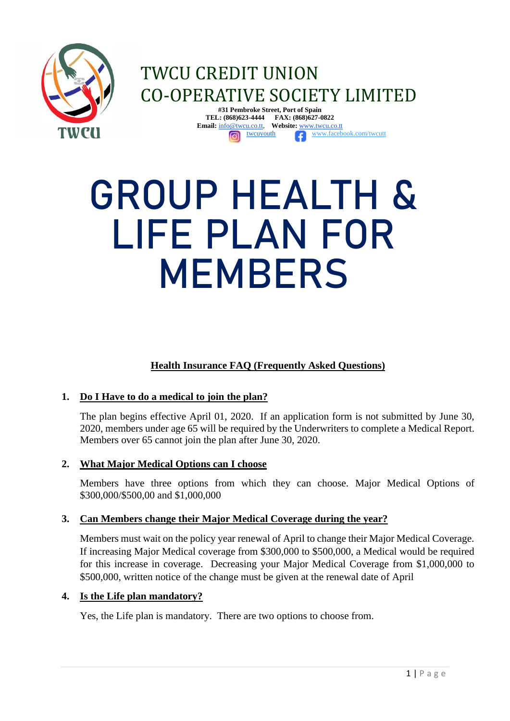

# TWCU CREDIT UNION CO-OPERATIVE SOCIETY LIMITED **#31 Pembroke Street, Port of Spain**

**TEL: (868)623-4444 FAX: (868)627-0822 Email:** [info@twcu.co.tt,](mailto:info@twcu.co.tt) **Website:** [www.twcu.co.tt](http://www.twcu.co.tt/) [twcuy](http://twcu/)outh [www.facebook.com/twcutt](http://www.facebook.com/twcutt)

# GROUP HEALTH & LIFE PLAN FOR MEMBERS

# **Health Insurance FAQ (Frequently Asked Questions)**

# **1. Do I Have to do a medical to join the plan?**

The plan begins effective April 01, 2020. If an application form is not submitted by June 30, 2020, members under age 65 will be required by the Underwriters to complete a Medical Report. Members over 65 cannot join the plan after June 30, 2020.

# **2. What Major Medical Options can I choose**

Members have three options from which they can choose. Major Medical Options of \$300,000/\$500,00 and \$1,000,000

#### **3. Can Members change their Major Medical Coverage during the year?**

Members must wait on the policy year renewal of April to change their Major Medical Coverage. If increasing Major Medical coverage from \$300,000 to \$500,000, a Medical would be required for this increase in coverage. Decreasing your Major Medical Coverage from \$1,000,000 to \$500,000, written notice of the change must be given at the renewal date of April

#### **4. Is the Life plan mandatory?**

Yes, the Life plan is mandatory. There are two options to choose from.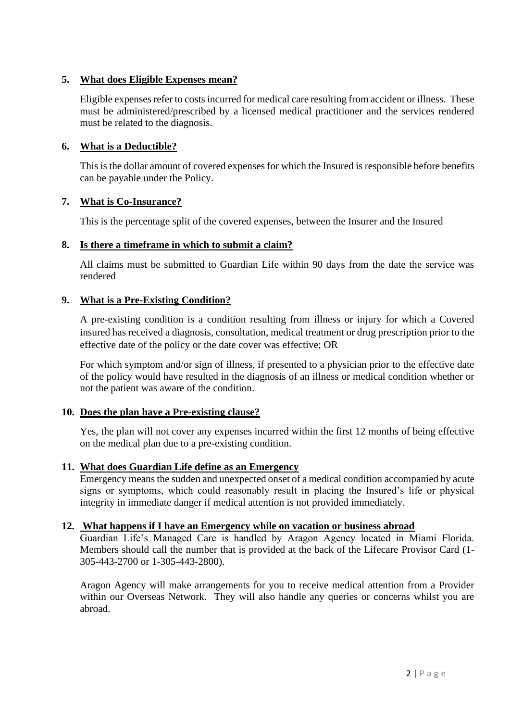# **5. What does Eligible Expenses mean?**

Eligible expenses refer to costs incurred for medical care resulting from accident or illness. These must be administered/prescribed by a licensed medical practitioner and the services rendered must be related to the diagnosis.

# **6. What is a Deductible?**

This is the dollar amount of covered expenses for which the Insured is responsible before benefits can be payable under the Policy.

# **7. What is Co-Insurance?**

This is the percentage split of the covered expenses, between the Insurer and the Insured

# **8. Is there a timeframe in which to submit a claim?**

All claims must be submitted to Guardian Life within 90 days from the date the service was rendered

# **9. What is a Pre-Existing Condition?**

A pre-existing condition is a condition resulting from illness or injury for which a Covered insured has received a diagnosis, consultation, medical treatment or drug prescription prior to the effective date of the policy or the date cover was effective; OR

For which symptom and/or sign of illness, if presented to a physician prior to the effective date of the policy would have resulted in the diagnosis of an illness or medical condition whether or not the patient was aware of the condition.

#### **10. Does the plan have a Pre-existing clause?**

Yes, the plan will not cover any expenses incurred within the first 12 months of being effective on the medical plan due to a pre-existing condition.

#### **11. What does Guardian Life define as an Emergency**

Emergency means the sudden and unexpected onset of a medical condition accompanied by acute signs or symptoms, which could reasonably result in placing the Insured's life or physical integrity in immediate danger if medical attention is not provided immediately.

#### **12. What happens if I have an Emergency while on vacation or business abroad**

Guardian Life's Managed Care is handled by Aragon Agency located in Miami Florida. Members should call the number that is provided at the back of the Lifecare Provisor Card (1- 305-443-2700 or 1-305-443-2800).

Aragon Agency will make arrangements for you to receive medical attention from a Provider within our Overseas Network. They will also handle any queries or concerns whilst you are abroad.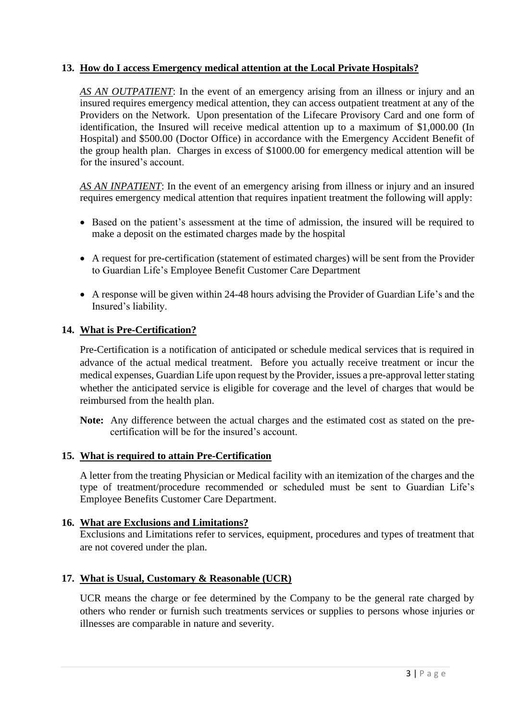#### **13. How do I access Emergency medical attention at the Local Private Hospitals?**

*AS AN OUTPATIENT*: In the event of an emergency arising from an illness or injury and an insured requires emergency medical attention, they can access outpatient treatment at any of the Providers on the Network. Upon presentation of the Lifecare Provisory Card and one form of identification, the Insured will receive medical attention up to a maximum of \$1,000.00 (In Hospital) and \$500.00 (Doctor Office) in accordance with the Emergency Accident Benefit of the group health plan. Charges in excess of \$1000.00 for emergency medical attention will be for the insured's account.

*AS AN INPATIENT*: In the event of an emergency arising from illness or injury and an insured requires emergency medical attention that requires inpatient treatment the following will apply:

- Based on the patient's assessment at the time of admission, the insured will be required to make a deposit on the estimated charges made by the hospital
- A request for pre-certification (statement of estimated charges) will be sent from the Provider to Guardian Life's Employee Benefit Customer Care Department
- A response will be given within 24-48 hours advising the Provider of Guardian Life's and the Insured's liability.

#### **14. What is Pre-Certification?**

Pre-Certification is a notification of anticipated or schedule medical services that is required in advance of the actual medical treatment. Before you actually receive treatment or incur the medical expenses, Guardian Life upon request by the Provider, issues a pre-approval letter stating whether the anticipated service is eligible for coverage and the level of charges that would be reimbursed from the health plan.

**Note:** Any difference between the actual charges and the estimated cost as stated on the precertification will be for the insured's account.

#### **15. What is required to attain Pre-Certification**

A letter from the treating Physician or Medical facility with an itemization of the charges and the type of treatment/procedure recommended or scheduled must be sent to Guardian Life's Employee Benefits Customer Care Department.

#### **16. What are Exclusions and Limitations?**

Exclusions and Limitations refer to services, equipment, procedures and types of treatment that are not covered under the plan.

#### **17. What is Usual, Customary & Reasonable (UCR)**

UCR means the charge or fee determined by the Company to be the general rate charged by others who render or furnish such treatments services or supplies to persons whose injuries or illnesses are comparable in nature and severity.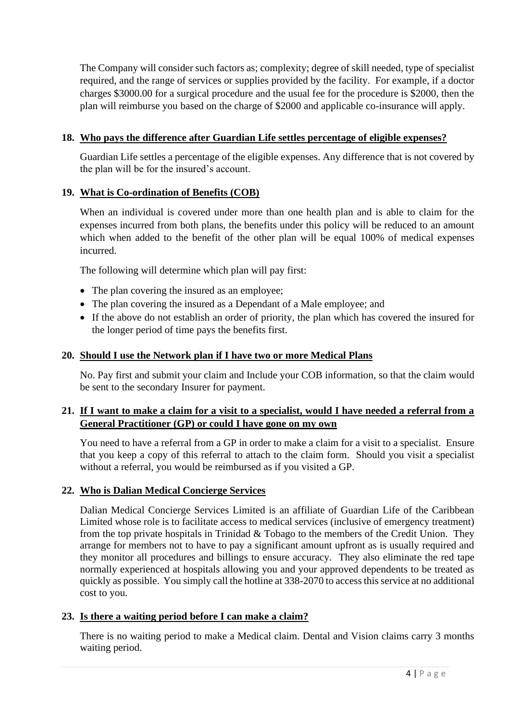The Company will consider such factors as; complexity; degree of skill needed, type of specialist required, and the range of services or supplies provided by the facility. For example, if a doctor charges \$3000.00 for a surgical procedure and the usual fee for the procedure is \$2000, then the plan will reimburse you based on the charge of \$2000 and applicable co-insurance will apply.

# **18. Who pays the difference after Guardian Life settles percentage of eligible expenses?**

Guardian Life settles a percentage of the eligible expenses. Any difference that is not covered by the plan will be for the insured's account.

# **19. What is Co-ordination of Benefits (COB)**

When an individual is covered under more than one health plan and is able to claim for the expenses incurred from both plans, the benefits under this policy will be reduced to an amount which when added to the benefit of the other plan will be equal 100% of medical expenses incurred.

The following will determine which plan will pay first:

- The plan covering the insured as an employee;
- The plan covering the insured as a Dependant of a Male employee; and
- If the above do not establish an order of priority, the plan which has covered the insured for the longer period of time pays the benefits first.

#### **20. Should I use the Network plan if I have two or more Medical Plans**

No. Pay first and submit your claim and Include your COB information, so that the claim would be sent to the secondary Insurer for payment.

#### **21. If I want to make a claim for a visit to a specialist, would I have needed a referral from a General Practitioner (GP) or could I have gone on my own**

You need to have a referral from a GP in order to make a claim for a visit to a specialist. Ensure that you keep a copy of this referral to attach to the claim form. Should you visit a specialist without a referral, you would be reimbursed as if you visited a GP.

#### **22. Who is Dalian Medical Concierge Services**

Dalian Medical Concierge Services Limited is an affiliate of Guardian Life of the Caribbean Limited whose role is to facilitate access to medical services (inclusive of emergency treatment) from the top private hospitals in Trinidad  $&$  Tobago to the members of the Credit Union. They arrange for members not to have to pay a significant amount upfront as is usually required and they monitor all procedures and billings to ensure accuracy. They also eliminate the red tape normally experienced at hospitals allowing you and your approved dependents to be treated as quickly as possible. You simply call the hotline at 338-2070 to access this service at no additional cost to you.

#### **23. Is there a waiting period before I can make a claim?**

There is no waiting period to make a Medical claim. Dental and Vision claims carry 3 months waiting period.